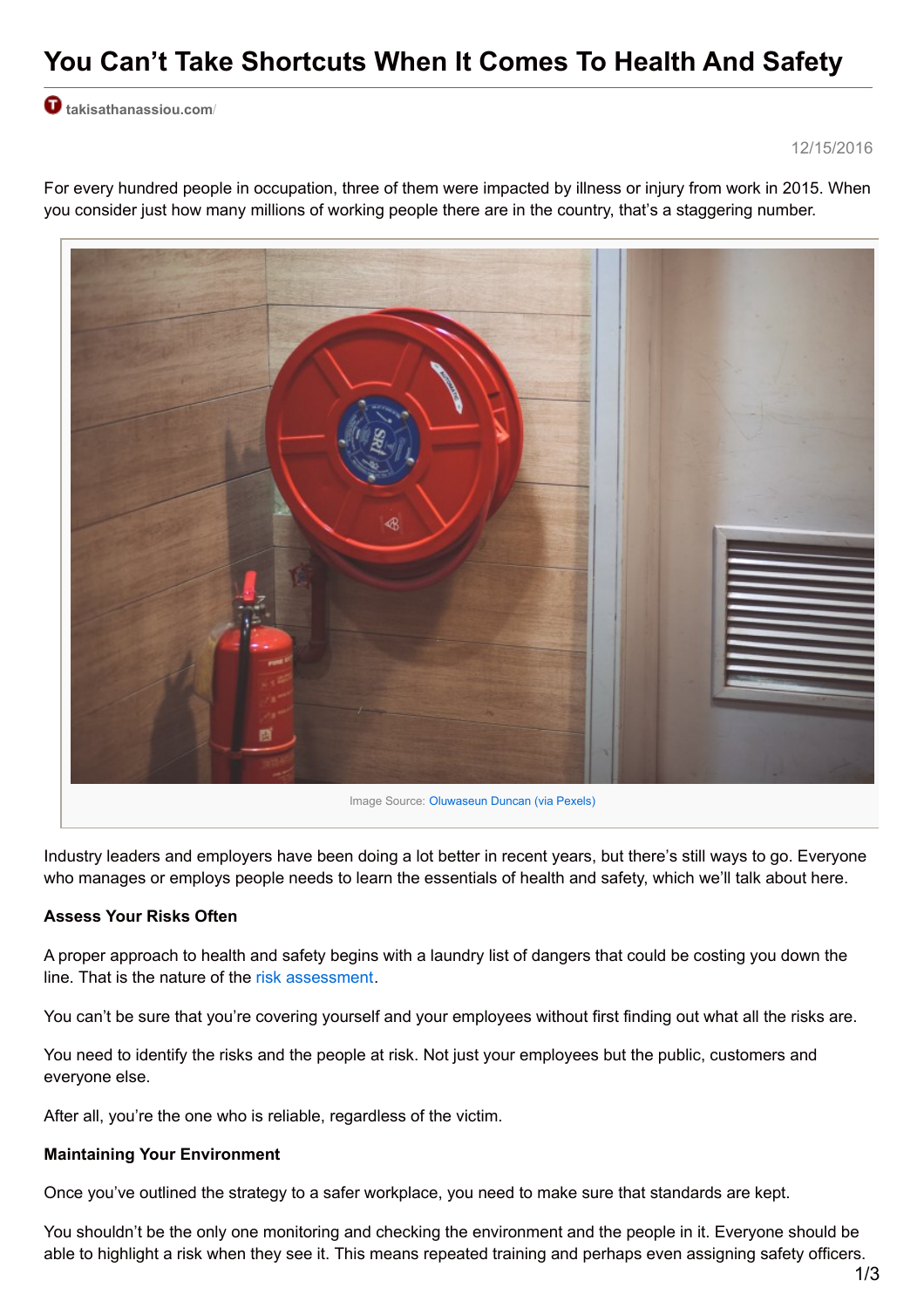# **You Can't Take Shortcuts When It Comes To Health And Safety**

**[takisathanassiou.com](http://takisathanassiou.com/?p=10041&preview=true)**/

12/15/2016



For every hundred people in occupation, three of them were impacted by illness or injury from work in 2015. When you consider just how many millions of working people there are in the country, that's a staggering number.

Industry leaders and employers have been doing a lot better in recent years, but there's still ways to go. Everyone who manages or employs people needs to learn the essentials of health and safety, which we'll talk about here.

# **Assess Your Risks Often**

A proper approach to health and safety begins with a laundry list of dangers that could be costing you down the line. That is the nature of the risk [assessment](https://www.fpb.org/business-support/how-carry-out-workplace-risk-assessment).

You can't be sure that you're covering yourself and your employees without first finding out what all the risks are.

You need to identify the risks and the people at risk. Not just your employees but the public, customers and everyone else.

After all, you're the one who is reliable, regardless of the victim.

### **Maintaining Your Environment**

Once you've outlined the strategy to a safer workplace, you need to make sure that standards are kept.

You shouldn't be the only one monitoring and checking the environment and the people in it. Everyone should be able to highlight a risk when they see it. This means repeated training and perhaps even assigning safety officers.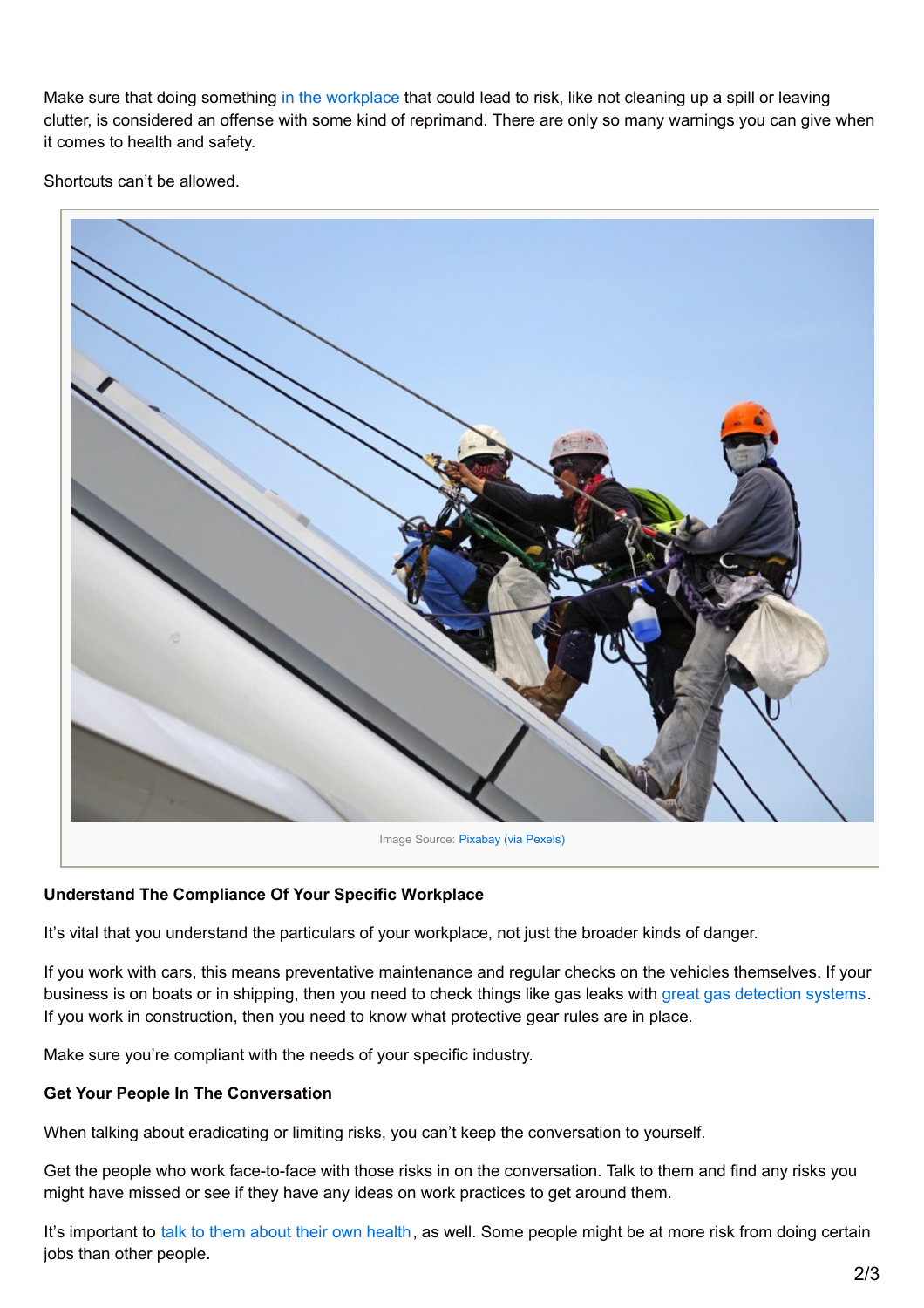Make sure that doing something in the [workplace](http://takisathanassiou.com/preparing-workplace-today/) that could lead to risk, like not cleaning up a spill or leaving clutter, is considered an offense with some kind of reprimand. There are only so many warnings you can give when it comes to health and safety.

Shortcuts can't be allowed.



# **Understand The Compliance Of Your Specific Workplace**

It's vital that you understand the particulars of your workplace, not just the broader kinds of danger.

If you work with cars, this means preventative maintenance and regular checks on the vehicles themselves. If your business is on boats or in shipping, then you need to check things like gas leaks with great gas [detection](https://www.martek-marine.com/gas-detection) systems. If you work in construction, then you need to know what protective gear rules are in place.

Make sure you're compliant with the needs of your specific industry.

# **Get Your People In The Conversation**

When talking about eradicating or limiting risks, you can't keep the conversation to yourself.

Get the people who work face-to-face with those risks in on the conversation. Talk to them and find any risks you might have missed or see if they have any ideas on work practices to get around them.

It's important to talk to them about their own [health](http://fitforwork.org/employer/preventing-absence/talking-to-employees-about-their-health/), as well. Some people might be at more risk from doing certain jobs than other people.